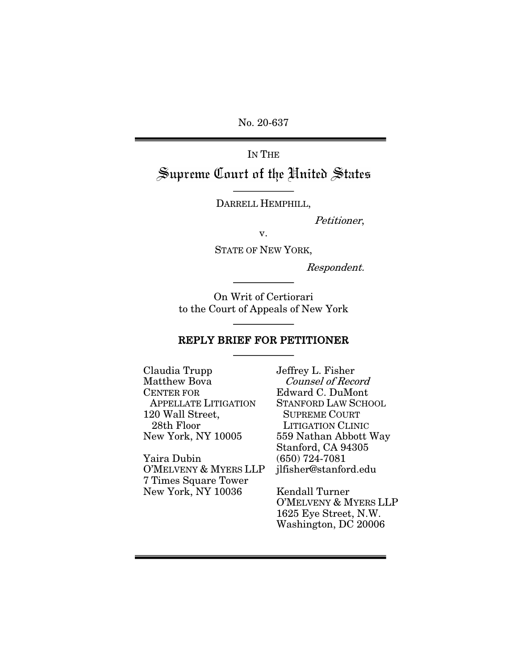No. 20-637

# IN THE Supreme Court of the United States

DARRELL HEMPHILL,

Petitioner,

v.

STATE OF NEW YORK,

Respondent.

On Writ of Certiorari to the Court of Appeals of New York

### REPLY BRIEF FOR PETITIONER

Claudia Trupp Matthew Bova CENTER FOR APPELLATE LITIGATION 120 Wall Street, 28th Floor New York, NY 10005

Yaira Dubin O'MELVENY & MYERS LLP 7 Times Square Tower New York, NY 10036

Jeffrey L. Fisher Counsel of Record Edward C. DuMont STANFORD LAW SCHOOL SUPREME COURT LITIGATION CLINIC 559 Nathan Abbott Way Stanford, CA 94305 (650) 724-7081 jlfisher@stanford.edu

Kendall Turner O'MELVENY & MYERS LLP 1625 Eye Street, N.W. Washington, DC 20006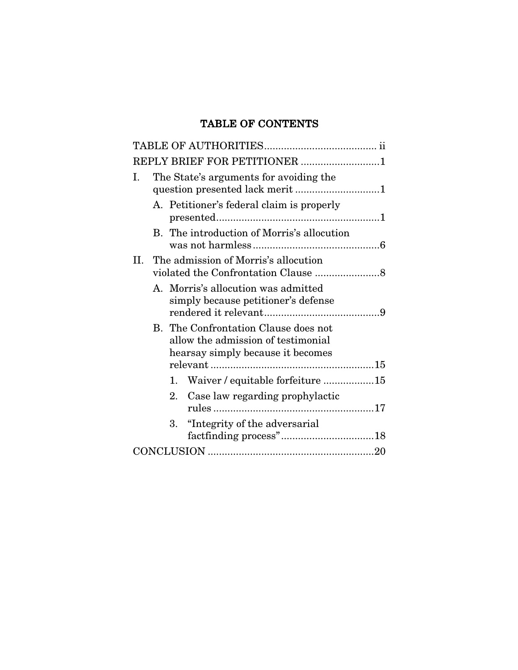# TABLE OF CONTENTS

| REPLY BRIEF FOR PETITIONER 1                                                                                    |
|-----------------------------------------------------------------------------------------------------------------|
| The State's arguments for avoiding the<br>I.                                                                    |
| A. Petitioner's federal claim is properly                                                                       |
| B. The introduction of Morris's allocution                                                                      |
| The admission of Morris's allocution<br>II.                                                                     |
| A. Morris's allocution was admitted<br>simply because petitioner's defense                                      |
| B. The Confrontation Clause does not<br>allow the admission of testimonial<br>hearsay simply because it becomes |
|                                                                                                                 |
| Waiver / equitable forfeiture 15<br>1.                                                                          |
| 2.<br>Case law regarding prophylactic                                                                           |
| 3.<br>"Integrity of the adversarial"                                                                            |
|                                                                                                                 |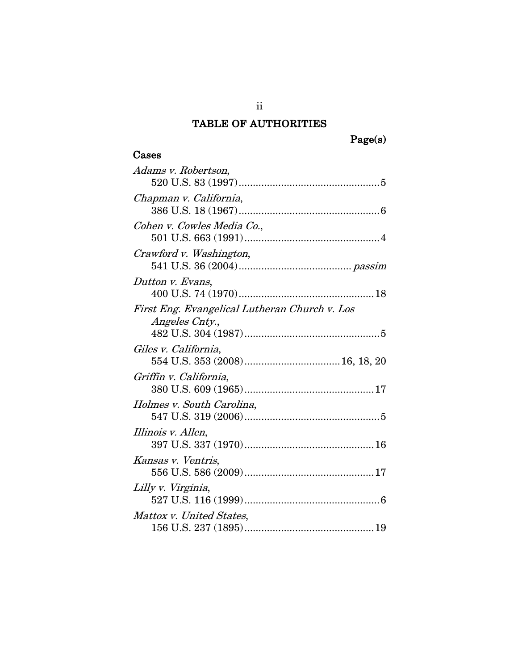# TABLE OF AUTHORITIES

# Cases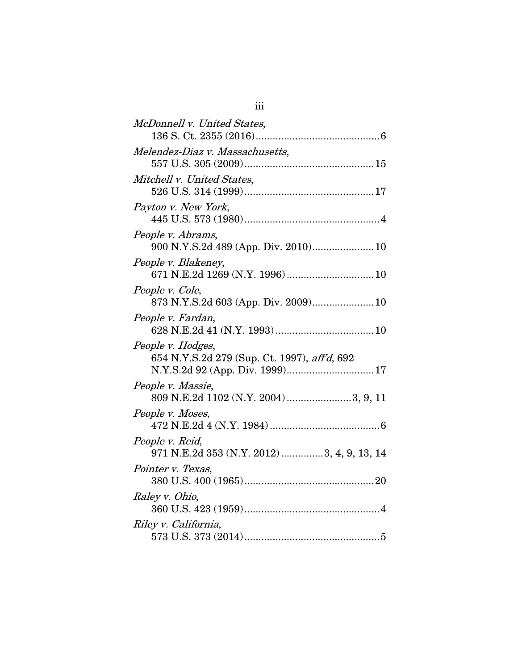| McDonnell v. United States,                                       |
|-------------------------------------------------------------------|
| Melendez-Diaz v. Massachusetts,                                   |
| Mitchell v. United States,                                        |
| Payton v. New York,                                               |
| People v. Abrams,                                                 |
| People v. Blakeney,                                               |
| People v. Cole,<br>873 N.Y.S.2d 603 (App. Div. 2009) 10           |
| People v. Fardan,                                                 |
| People v. Hodges,<br>654 N.Y.S.2d 279 (Sup. Ct. 1997), aff'd, 692 |
| People v. Massie,<br>809 N.E.2d 1102 (N.Y. 2004) 3, 9, 11         |
| People v. Moses,                                                  |
| People v. Reid,<br>971 N.E.2d 353 (N.Y. 2012)3, 4, 9, 13, 14      |
| Pointer v. Texas,                                                 |
| Raley v. Ohio,                                                    |
| Riley v. California,                                              |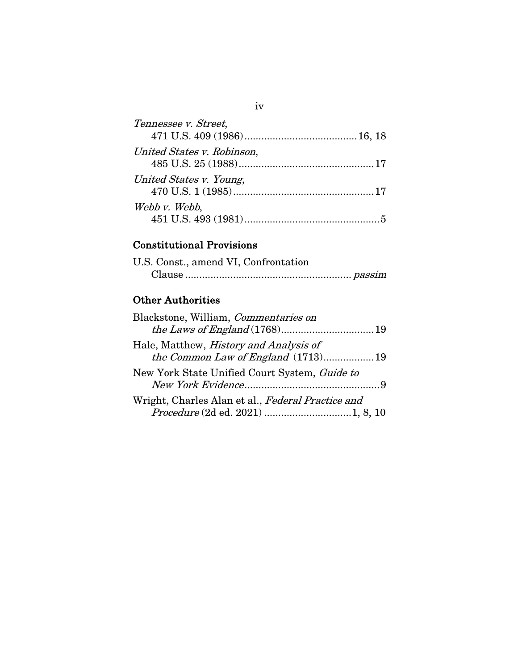| Tennessee v. Street,       |  |
|----------------------------|--|
|                            |  |
| United States v. Robinson, |  |
| United States v. Young,    |  |
| Webb v. Webb,              |  |

# Constitutional Provisions

| U.S. Const., amend VI, Confrontation |  |
|--------------------------------------|--|
|                                      |  |

# Other Authorities

| Blackstone, William, <i>Commentaries on</i>       |  |
|---------------------------------------------------|--|
|                                                   |  |
| Hale, Matthew, <i>History and Analysis of</i>     |  |
| the Common Law of England (1713)19                |  |
| New York State Unified Court System, Guide to     |  |
|                                                   |  |
| Wright, Charles Alan et al., Federal Practice and |  |
|                                                   |  |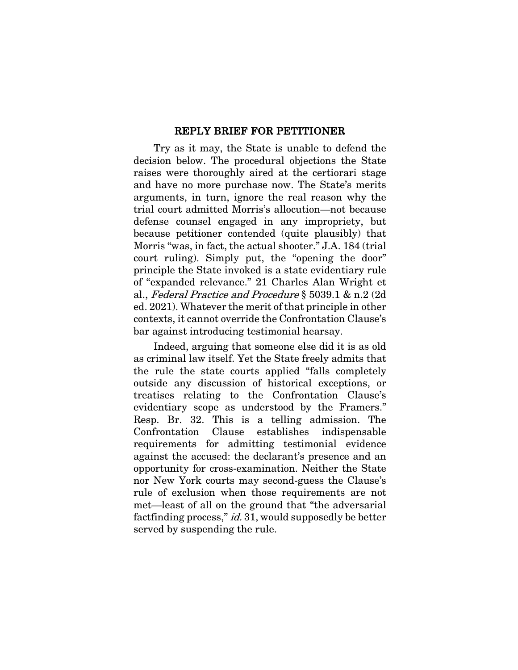#### REPLY BRIEF FOR PETITIONER

Try as it may, the State is unable to defend the decision below. The procedural objections the State raises were thoroughly aired at the certiorari stage and have no more purchase now. The State's merits arguments, in turn, ignore the real reason why the trial court admitted Morris's allocution—not because defense counsel engaged in any impropriety, but because petitioner contended (quite plausibly) that Morris "was, in fact, the actual shooter." J.A. 184 (trial court ruling). Simply put, the "opening the door" principle the State invoked is a state evidentiary rule of "expanded relevance." 21 Charles Alan Wright et al., Federal Practice and Procedure § 5039.1 & n.2 (2d ed. 2021). Whatever the merit of that principle in other contexts, it cannot override the Confrontation Clause's bar against introducing testimonial hearsay.

Indeed, arguing that someone else did it is as old as criminal law itself. Yet the State freely admits that the rule the state courts applied "falls completely outside any discussion of historical exceptions, or treatises relating to the Confrontation Clause's evidentiary scope as understood by the Framers." Resp. Br. 32. This is a telling admission. The Confrontation Clause establishes indispensable requirements for admitting testimonial evidence against the accused: the declarant's presence and an opportunity for cross-examination. Neither the State nor New York courts may second-guess the Clause's rule of exclusion when those requirements are not met—least of all on the ground that "the adversarial factfinding process," *id.* 31, would supposedly be better served by suspending the rule.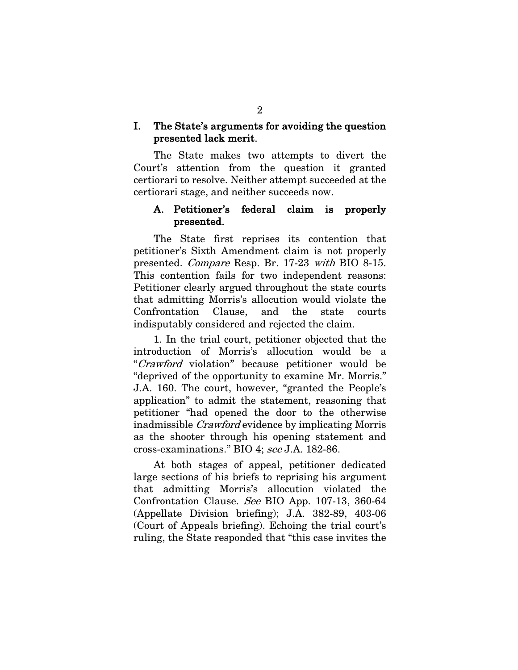### I. The State's arguments for avoiding the question presented lack merit.

The State makes two attempts to divert the Court's attention from the question it granted certiorari to resolve. Neither attempt succeeded at the certiorari stage, and neither succeeds now.

### A. Petitioner's federal claim is properly presented.

The State first reprises its contention that petitioner's Sixth Amendment claim is not properly presented. Compare Resp. Br. 17-23 with BIO 8-15. This contention fails for two independent reasons: Petitioner clearly argued throughout the state courts that admitting Morris's allocution would violate the Confrontation Clause, and the state courts indisputably considered and rejected the claim.

1. In the trial court, petitioner objected that the introduction of Morris's allocution would be a "Crawford violation" because petitioner would be "deprived of the opportunity to examine Mr. Morris." J.A. 160. The court, however, "granted the People's application" to admit the statement, reasoning that petitioner "had opened the door to the otherwise inadmissible Crawford evidence by implicating Morris as the shooter through his opening statement and cross-examinations." BIO 4; see J.A. 182-86.

At both stages of appeal, petitioner dedicated large sections of his briefs to reprising his argument that admitting Morris's allocution violated the Confrontation Clause. See BIO App. 107-13, 360-64 (Appellate Division briefing); J.A. 382-89, 403-06 (Court of Appeals briefing). Echoing the trial court's ruling, the State responded that "this case invites the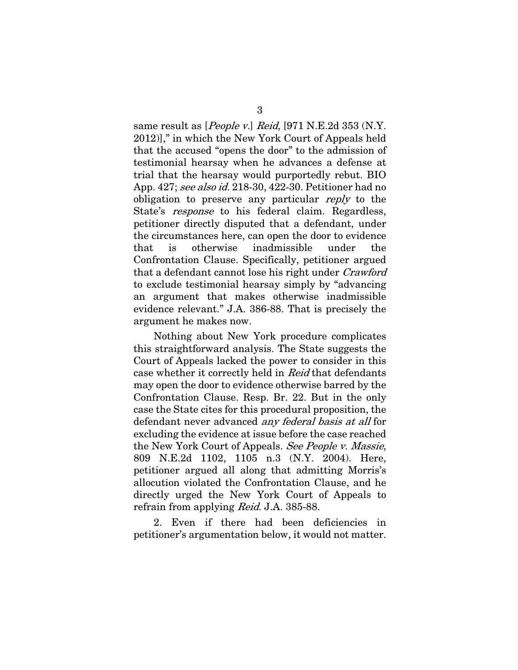same result as [People v.] Reid, [971 N.E.2d 353 (N.Y. 2012)]," in which the New York Court of Appeals held that the accused "opens the door" to the admission of testimonial hearsay when he advances a defense at trial that the hearsay would purportedly rebut. BIO App. 427; see also id. 218-30, 422-30. Petitioner had no obligation to preserve any particular reply to the State's *response* to his federal claim. Regardless, petitioner directly disputed that a defendant, under the circumstances here, can open the door to evidence that is otherwise inadmissible under the Confrontation Clause. Specifically, petitioner argued that a defendant cannot lose his right under Crawford to exclude testimonial hearsay simply by "advancing an argument that makes otherwise inadmissible evidence relevant." J.A. 386-88. That is precisely the argument he makes now.

Nothing about New York procedure complicates this straightforward analysis. The State suggests the Court of Appeals lacked the power to consider in this case whether it correctly held in Reid that defendants may open the door to evidence otherwise barred by the Confrontation Clause. Resp. Br. 22. But in the only case the State cites for this procedural proposition, the defendant never advanced any federal basis at all for excluding the evidence at issue before the case reached the New York Court of Appeals. See People v. Massie, 809 N.E.2d 1102, 1105 n.3 (N.Y. 2004). Here, petitioner argued all along that admitting Morris's allocution violated the Confrontation Clause, and he directly urged the New York Court of Appeals to refrain from applying Reid. J.A. 385-88.

2. Even if there had been deficiencies in petitioner's argumentation below, it would not matter.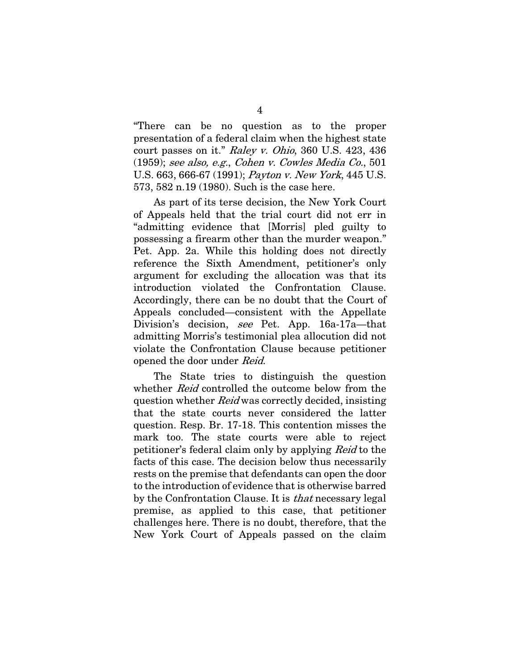"There can be no question as to the proper presentation of a federal claim when the highest state court passes on it." Raley v. Ohio, 360 U.S. 423, 436 (1959); see also, e.g., Cohen v. Cowles Media Co., 501 U.S. 663, 666-67 (1991); Payton v. New York, 445 U.S. 573, 582 n.19 (1980). Such is the case here.

As part of its terse decision, the New York Court of Appeals held that the trial court did not err in "admitting evidence that [Morris] pled guilty to possessing a firearm other than the murder weapon." Pet. App. 2a. While this holding does not directly reference the Sixth Amendment, petitioner's only argument for excluding the allocation was that its introduction violated the Confrontation Clause. Accordingly, there can be no doubt that the Court of Appeals concluded—consistent with the Appellate Division's decision, see Pet. App. 16a-17a—that admitting Morris's testimonial plea allocution did not violate the Confrontation Clause because petitioner opened the door under Reid.

The State tries to distinguish the question whether *Reid* controlled the outcome below from the question whether Reid was correctly decided, insisting that the state courts never considered the latter question. Resp. Br. 17-18. This contention misses the mark too. The state courts were able to reject petitioner's federal claim only by applying Reid to the facts of this case. The decision below thus necessarily rests on the premise that defendants can open the door to the introduction of evidence that is otherwise barred by the Confrontation Clause. It is that necessary legal premise, as applied to this case, that petitioner challenges here. There is no doubt, therefore, that the New York Court of Appeals passed on the claim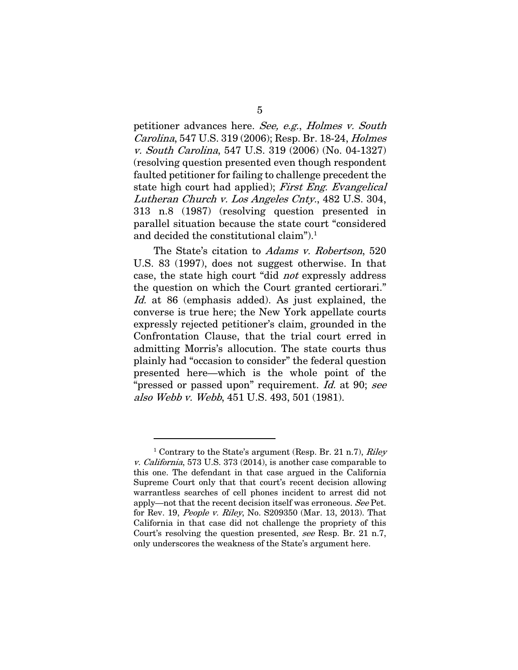petitioner advances here. See, e.g., Holmes v. South Carolina, 547 U.S. 319 (2006); Resp. Br. 18-24, Holmes v. South Carolina, 547 U.S. 319 (2006) (No. 04-1327) (resolving question presented even though respondent faulted petitioner for failing to challenge precedent the state high court had applied); First Eng. Evangelical Lutheran Church v. Los Angeles Cnty., 482 U.S. 304, 313 n.8 (1987) (resolving question presented in parallel situation because the state court "considered and decided the constitutional claim").<sup>1</sup>

The State's citation to Adams v. Robertson, 520 U.S. 83 (1997), does not suggest otherwise. In that case, the state high court "did not expressly address the question on which the Court granted certiorari." Id. at 86 (emphasis added). As just explained, the converse is true here; the New York appellate courts expressly rejected petitioner's claim, grounded in the Confrontation Clause, that the trial court erred in admitting Morris's allocution. The state courts thus plainly had "occasion to consider" the federal question presented here—which is the whole point of the "pressed or passed upon" requirement. Id. at 90; see also Webb v. Webb, 451 U.S. 493, 501 (1981).

<sup>&</sup>lt;sup>1</sup> Contrary to the State's argument (Resp. Br. 21 n.7), Riley v. California, 573 U.S. 373 (2014), is another case comparable to this one. The defendant in that case argued in the California Supreme Court only that that court's recent decision allowing warrantless searches of cell phones incident to arrest did not apply—not that the recent decision itself was erroneous. See Pet. for Rev. 19, People v. Riley, No. S209350 (Mar. 13, 2013). That California in that case did not challenge the propriety of this Court's resolving the question presented, see Resp. Br. 21 n.7, only underscores the weakness of the State's argument here.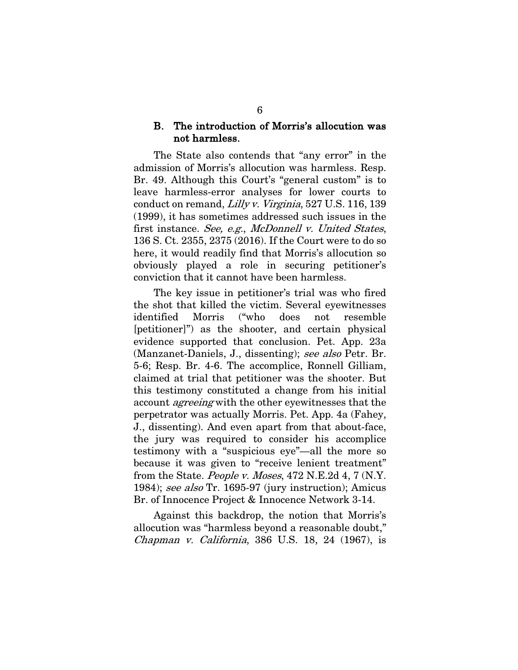#### B. The introduction of Morris's allocution was not harmless.

The State also contends that "any error" in the admission of Morris's allocution was harmless. Resp. Br. 49. Although this Court's "general custom" is to leave harmless-error analyses for lower courts to conduct on remand, Lilly v. Virginia, 527 U.S. 116, 139 (1999), it has sometimes addressed such issues in the first instance. See, e.g., McDonnell v. United States, 136 S. Ct. 2355, 2375 (2016). If the Court were to do so here, it would readily find that Morris's allocution so obviously played a role in securing petitioner's conviction that it cannot have been harmless.

The key issue in petitioner's trial was who fired the shot that killed the victim. Several eyewitnesses identified Morris ("who does not resemble [petitioner]") as the shooter, and certain physical evidence supported that conclusion. Pet. App. 23a (Manzanet-Daniels, J., dissenting); see also Petr. Br. 5-6; Resp. Br. 4-6. The accomplice, Ronnell Gilliam, claimed at trial that petitioner was the shooter. But this testimony constituted a change from his initial account *agreeing* with the other eyewitnesses that the perpetrator was actually Morris. Pet. App. 4a (Fahey, J., dissenting). And even apart from that about-face, the jury was required to consider his accomplice testimony with a "suspicious eye"—all the more so because it was given to "receive lenient treatment" from the State. People v. Moses, 472 N.E.2d 4, 7 (N.Y. 1984); see also Tr. 1695-97 (jury instruction); Amicus Br. of Innocence Project & Innocence Network 3-14.

Against this backdrop, the notion that Morris's allocution was "harmless beyond a reasonable doubt," Chapman v. California, 386 U.S. 18, 24 (1967), is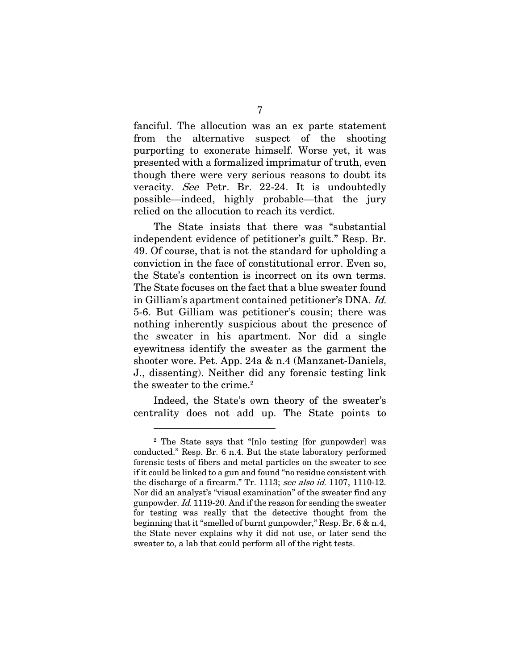fanciful. The allocution was an ex parte statement from the alternative suspect of the shooting purporting to exonerate himself. Worse yet, it was presented with a formalized imprimatur of truth, even though there were very serious reasons to doubt its veracity. See Petr. Br. 22-24. It is undoubtedly possible—indeed, highly probable—that the jury relied on the allocution to reach its verdict.

The State insists that there was "substantial independent evidence of petitioner's guilt." Resp. Br. 49. Of course, that is not the standard for upholding a conviction in the face of constitutional error. Even so, the State's contention is incorrect on its own terms. The State focuses on the fact that a blue sweater found in Gilliam's apartment contained petitioner's DNA. Id. 5-6. But Gilliam was petitioner's cousin; there was nothing inherently suspicious about the presence of the sweater in his apartment. Nor did a single eyewitness identify the sweater as the garment the shooter wore. Pet. App. 24a & n.4 (Manzanet-Daniels, J., dissenting). Neither did any forensic testing link the sweater to the crime.<sup>2</sup>

Indeed, the State's own theory of the sweater's centrality does not add up. The State points to

<sup>2</sup> The State says that "[n]o testing [for gunpowder] was conducted." Resp. Br. 6 n.4. But the state laboratory performed forensic tests of fibers and metal particles on the sweater to see if it could be linked to a gun and found "no residue consistent with the discharge of a firearm." Tr. 1113; see also id. 1107, 1110-12. Nor did an analyst's "visual examination" of the sweater find any gunpowder. Id. 1119-20. And if the reason for sending the sweater for testing was really that the detective thought from the beginning that it "smelled of burnt gunpowder," Resp. Br. 6 & n.4, the State never explains why it did not use, or later send the sweater to, a lab that could perform all of the right tests.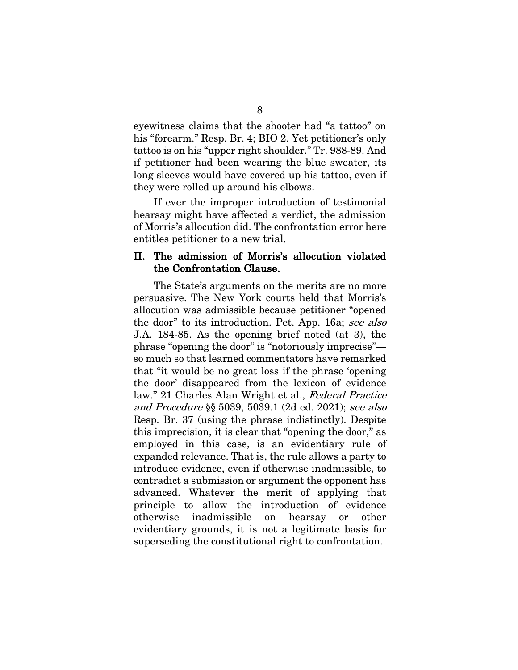eyewitness claims that the shooter had "a tattoo" on his "forearm." Resp. Br. 4; BIO 2. Yet petitioner's only tattoo is on his "upper right shoulder." Tr. 988-89. And if petitioner had been wearing the blue sweater, its long sleeves would have covered up his tattoo, even if they were rolled up around his elbows.

If ever the improper introduction of testimonial hearsay might have affected a verdict, the admission of Morris's allocution did. The confrontation error here entitles petitioner to a new trial.

### II. The admission of Morris's allocution violated the Confrontation Clause.

The State's arguments on the merits are no more persuasive. The New York courts held that Morris's allocution was admissible because petitioner "opened the door" to its introduction. Pet. App. 16a; see also J.A. 184-85. As the opening brief noted (at 3), the phrase "opening the door" is "notoriously imprecise" so much so that learned commentators have remarked that "it would be no great loss if the phrase 'opening the door' disappeared from the lexicon of evidence law." 21 Charles Alan Wright et al., Federal Practice and Procedure §§ 5039, 5039.1 (2d ed. 2021); see also Resp. Br. 37 (using the phrase indistinctly). Despite this imprecision, it is clear that "opening the door," as employed in this case, is an evidentiary rule of expanded relevance. That is, the rule allows a party to introduce evidence, even if otherwise inadmissible, to contradict a submission or argument the opponent has advanced. Whatever the merit of applying that principle to allow the introduction of evidence otherwise inadmissible on hearsay or other evidentiary grounds, it is not a legitimate basis for superseding the constitutional right to confrontation.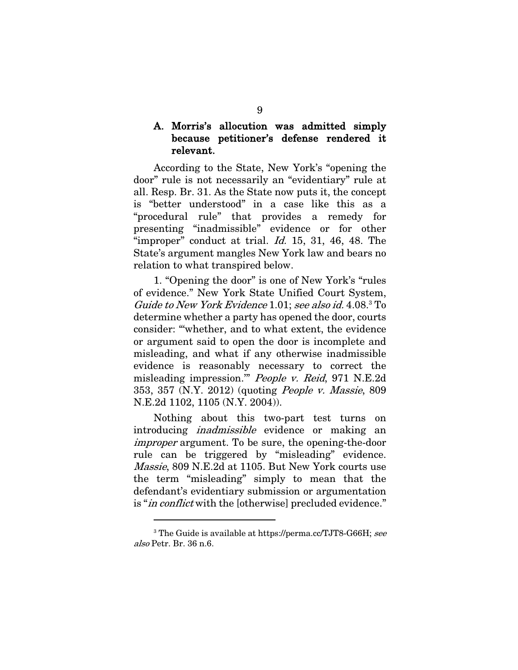# A. Morris's allocution was admitted simply because petitioner's defense rendered it relevant.

According to the State, New York's "opening the door" rule is not necessarily an "evidentiary" rule at all. Resp. Br. 31. As the State now puts it, the concept is "better understood" in a case like this as a "procedural rule" that provides a remedy for presenting "inadmissible" evidence or for other "improper" conduct at trial.  $Id.$  15, 31, 46, 48. The State's argument mangles New York law and bears no relation to what transpired below.

1. "Opening the door" is one of New York's "rules of evidence." New York State Unified Court System, Guide to New York Evidence 1.01; see also id. 4.08. <sup>3</sup> To determine whether a party has opened the door, courts consider: "'whether, and to what extent, the evidence or argument said to open the door is incomplete and misleading, and what if any otherwise inadmissible evidence is reasonably necessary to correct the misleading impression.'" People v. Reid, 971 N.E.2d 353, 357 (N.Y. 2012) (quoting People v. Massie, 809 N.E.2d 1102, 1105 (N.Y. 2004)).

Nothing about this two-part test turns on introducing inadmissible evidence or making an improper argument. To be sure, the opening-the-door rule can be triggered by "misleading" evidence. Massie, 809 N.E.2d at 1105. But New York courts use the term "misleading" simply to mean that the defendant's evidentiary submission or argumentation is "*in conflict* with the [otherwise] precluded evidence."

<sup>&</sup>lt;sup>3</sup> The Guide is available at https://perma.cc/TJT8-G66H; see also Petr. Br. 36 n.6.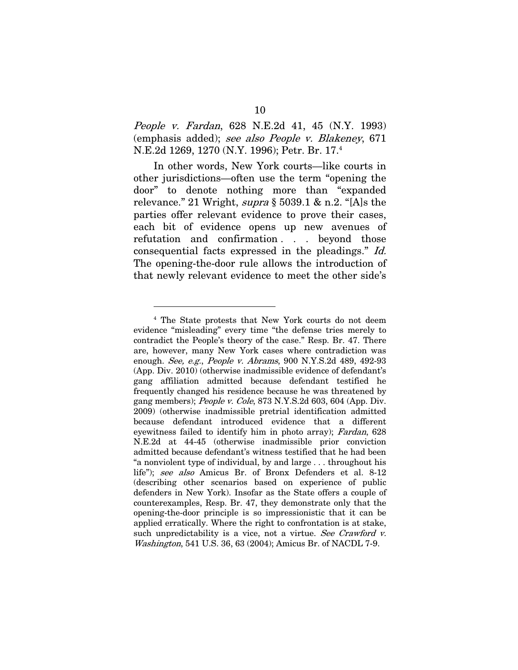People v. Fardan, 628 N.E.2d 41, 45 (N.Y. 1993) (emphasis added); see also People v. Blakeney, 671 N.E.2d 1269, 1270 (N.Y. 1996); Petr. Br. 17. 4

In other words, New York courts—like courts in other jurisdictions—often use the term "opening the door" to denote nothing more than "expanded relevance." 21 Wright,  $\text{supra } \S 5039.1 \& \text{n.2.}$  "[A]s the parties offer relevant evidence to prove their cases, each bit of evidence opens up new avenues of refutation and confirmation . . . beyond those consequential facts expressed in the pleadings." Id. The opening-the-door rule allows the introduction of that newly relevant evidence to meet the other side's

<sup>4</sup> The State protests that New York courts do not deem evidence "misleading" every time "the defense tries merely to contradict the People's theory of the case." Resp. Br. 47. There are, however, many New York cases where contradiction was enough. See, e.g., People v. Abrams, 900 N.Y.S.2d 489, 492-93 (App. Div. 2010) (otherwise inadmissible evidence of defendant's gang affiliation admitted because defendant testified he frequently changed his residence because he was threatened by gang members); People v. Cole, 873 N.Y.S.2d 603, 604 (App. Div. 2009) (otherwise inadmissible pretrial identification admitted because defendant introduced evidence that a different eyewitness failed to identify him in photo array); Fardan, 628 N.E.2d at 44-45 (otherwise inadmissible prior conviction admitted because defendant's witness testified that he had been "a nonviolent type of individual, by and large . . . throughout his life"); see also Amicus Br. of Bronx Defenders et al. 8-12 (describing other scenarios based on experience of public defenders in New York). Insofar as the State offers a couple of counterexamples, Resp. Br. 47, they demonstrate only that the opening-the-door principle is so impressionistic that it can be applied erratically. Where the right to confrontation is at stake, such unpredictability is a vice, not a virtue. See Crawford v. Washington, 541 U.S. 36, 63 (2004); Amicus Br. of NACDL 7-9.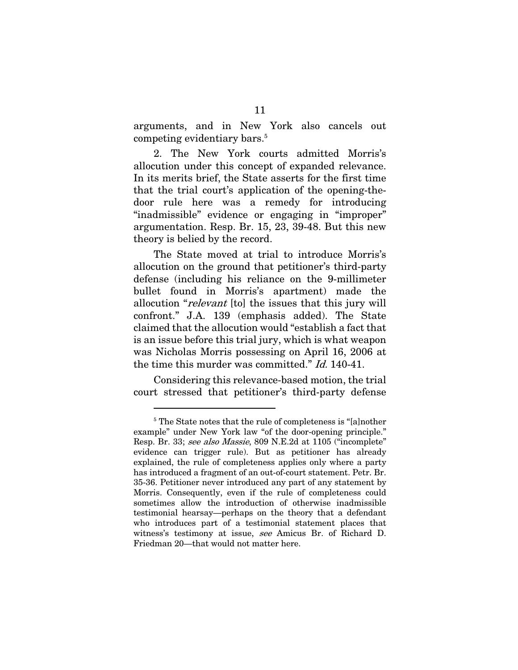arguments, and in New York also cancels out competing evidentiary bars.<sup>5</sup>

2. The New York courts admitted Morris's allocution under this concept of expanded relevance. In its merits brief, the State asserts for the first time that the trial court's application of the opening-thedoor rule here was a remedy for introducing "inadmissible" evidence or engaging in "improper" argumentation. Resp. Br. 15, 23, 39-48. But this new theory is belied by the record.

The State moved at trial to introduce Morris's allocution on the ground that petitioner's third-party defense (including his reliance on the 9-millimeter bullet found in Morris's apartment) made the allocution "relevant [to] the issues that this jury will confront." J.A. 139 (emphasis added). The State claimed that the allocution would "establish a fact that is an issue before this trial jury, which is what weapon was Nicholas Morris possessing on April 16, 2006 at the time this murder was committed." Id. 140-41.

Considering this relevance-based motion, the trial court stressed that petitioner's third-party defense

<sup>&</sup>lt;sup>5</sup> The State notes that the rule of completeness is "[a]nother example" under New York law "of the door-opening principle." Resp. Br. 33; see also Massie, 809 N.E.2d at 1105 ("incomplete" evidence can trigger rule). But as petitioner has already explained, the rule of completeness applies only where a party has introduced a fragment of an out-of-court statement. Petr. Br. 35-36. Petitioner never introduced any part of any statement by Morris. Consequently, even if the rule of completeness could sometimes allow the introduction of otherwise inadmissible testimonial hearsay—perhaps on the theory that a defendant who introduces part of a testimonial statement places that witness's testimony at issue, see Amicus Br. of Richard D. Friedman 20—that would not matter here.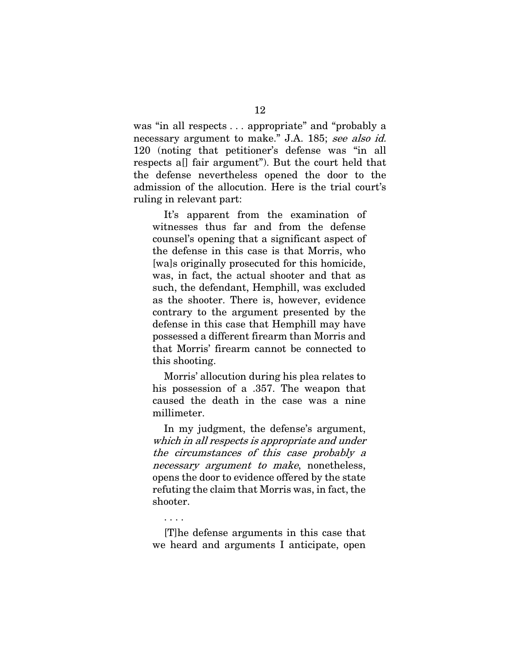was "in all respects . . . appropriate" and "probably a necessary argument to make." J.A. 185; see also id. 120 (noting that petitioner's defense was "in all respects a[] fair argument"). But the court held that the defense nevertheless opened the door to the admission of the allocution. Here is the trial court's ruling in relevant part:

It's apparent from the examination of witnesses thus far and from the defense counsel's opening that a significant aspect of the defense in this case is that Morris, who [wa]s originally prosecuted for this homicide, was, in fact, the actual shooter and that as such, the defendant, Hemphill, was excluded as the shooter. There is, however, evidence contrary to the argument presented by the defense in this case that Hemphill may have possessed a different firearm than Morris and that Morris' firearm cannot be connected to this shooting.

Morris' allocution during his plea relates to his possession of a .357. The weapon that caused the death in the case was a nine millimeter.

In my judgment, the defense's argument, which in all respects is appropriate and under the circumstances of this case probably a necessary argument to make, nonetheless, opens the door to evidence offered by the state refuting the claim that Morris was, in fact, the shooter.

#### . . . .

[T]he defense arguments in this case that we heard and arguments I anticipate, open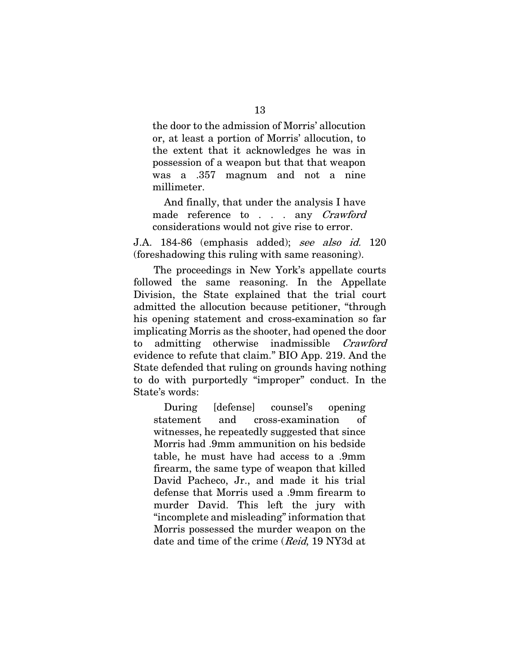the door to the admission of Morris' allocution or, at least a portion of Morris' allocution, to the extent that it acknowledges he was in possession of a weapon but that that weapon was a .357 magnum and not a nine millimeter.

And finally, that under the analysis I have made reference to . . . any *Crawford* considerations would not give rise to error.

J.A. 184-86 (emphasis added); see also id. 120 (foreshadowing this ruling with same reasoning).

The proceedings in New York's appellate courts followed the same reasoning. In the Appellate Division, the State explained that the trial court admitted the allocution because petitioner, "through his opening statement and cross-examination so far implicating Morris as the shooter, had opened the door to admitting otherwise inadmissible Crawford evidence to refute that claim." BIO App. 219. And the State defended that ruling on grounds having nothing to do with purportedly "improper" conduct. In the State's words:

During [defense] counsel's opening statement and cross-examination of witnesses, he repeatedly suggested that since Morris had .9mm ammunition on his bedside table, he must have had access to a .9mm firearm, the same type of weapon that killed David Pacheco, Jr., and made it his trial defense that Morris used a .9mm firearm to murder David. This left the jury with "incomplete and misleading" information that Morris possessed the murder weapon on the date and time of the crime (*Reid*, 19 NY3d at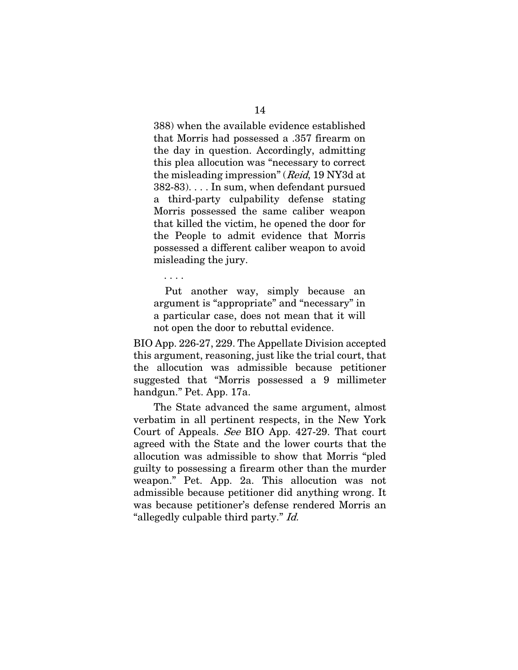388) when the available evidence established that Morris had possessed a .357 firearm on the day in question. Accordingly, admitting this plea allocution was "necessary to correct the misleading impression" (Reid, 19 NY3d at 382-83). . . . In sum, when defendant pursued a third-party culpability defense stating Morris possessed the same caliber weapon that killed the victim, he opened the door for the People to admit evidence that Morris possessed a different caliber weapon to avoid misleading the jury.

Put another way, simply because an argument is "appropriate" and "necessary" in a particular case, does not mean that it will not open the door to rebuttal evidence.

. . . .

BIO App. 226-27, 229. The Appellate Division accepted this argument, reasoning, just like the trial court, that the allocution was admissible because petitioner suggested that "Morris possessed a 9 millimeter handgun." Pet. App. 17a.

The State advanced the same argument, almost verbatim in all pertinent respects, in the New York Court of Appeals. See BIO App. 427-29. That court agreed with the State and the lower courts that the allocution was admissible to show that Morris "pled guilty to possessing a firearm other than the murder weapon." Pet. App. 2a. This allocution was not admissible because petitioner did anything wrong. It was because petitioner's defense rendered Morris an "allegedly culpable third party." Id.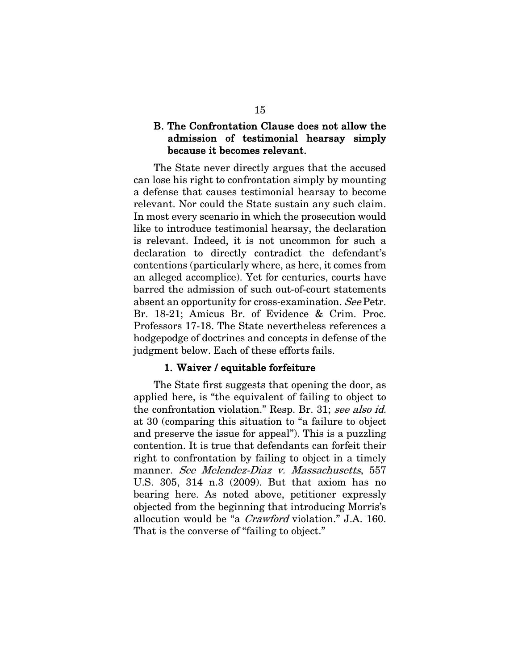# B. The Confrontation Clause does not allow the admission of testimonial hearsay simply because it becomes relevant.

The State never directly argues that the accused can lose his right to confrontation simply by mounting a defense that causes testimonial hearsay to become relevant. Nor could the State sustain any such claim. In most every scenario in which the prosecution would like to introduce testimonial hearsay, the declaration is relevant. Indeed, it is not uncommon for such a declaration to directly contradict the defendant's contentions (particularly where, as here, it comes from an alleged accomplice). Yet for centuries, courts have barred the admission of such out-of-court statements absent an opportunity for cross-examination. See Petr. Br. 18-21; Amicus Br. of Evidence & Crim. Proc. Professors 17-18. The State nevertheless references a hodgepodge of doctrines and concepts in defense of the judgment below. Each of these efforts fails.

#### 1. Waiver / equitable forfeiture

The State first suggests that opening the door, as applied here, is "the equivalent of failing to object to the confrontation violation." Resp. Br. 31; see also id. at 30 (comparing this situation to "a failure to object and preserve the issue for appeal"). This is a puzzling contention. It is true that defendants can forfeit their right to confrontation by failing to object in a timely manner. See Melendez-Diaz v. Massachusetts, 557 U.S. 305, 314 n.3 (2009). But that axiom has no bearing here. As noted above, petitioner expressly objected from the beginning that introducing Morris's allocution would be "a Crawford violation." J.A. 160. That is the converse of "failing to object."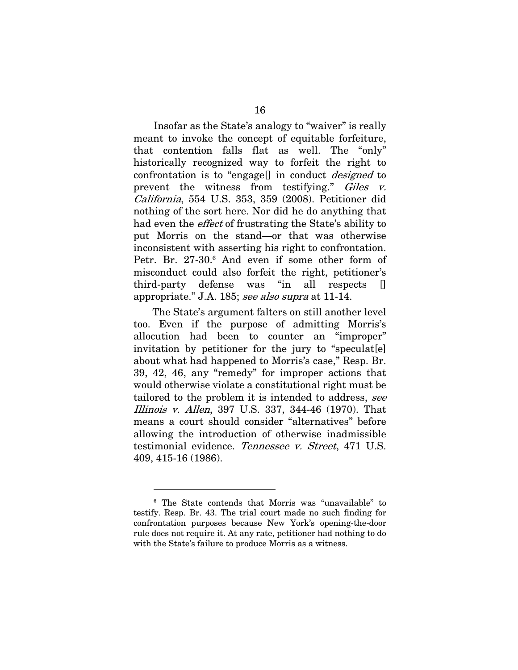Insofar as the State's analogy to "waiver" is really meant to invoke the concept of equitable forfeiture, that contention falls flat as well. The "only" historically recognized way to forfeit the right to confrontation is to "engage[] in conduct designed to prevent the witness from testifying." Giles v. California, 554 U.S. 353, 359 (2008). Petitioner did nothing of the sort here. Nor did he do anything that had even the effect of frustrating the State's ability to put Morris on the stand—or that was otherwise inconsistent with asserting his right to confrontation. Petr. Br. 27-30.<sup>6</sup> And even if some other form of misconduct could also forfeit the right, petitioner's third-party defense was "in all respects [] appropriate." J.A. 185; see also supra at 11-14.

The State's argument falters on still another level too. Even if the purpose of admitting Morris's allocution had been to counter an "improper" invitation by petitioner for the jury to "speculat[e] about what had happened to Morris's case," Resp. Br. 39, 42, 46, any "remedy" for improper actions that would otherwise violate a constitutional right must be tailored to the problem it is intended to address, see Illinois v. Allen, 397 U.S. 337, 344-46 (1970). That means a court should consider "alternatives" before allowing the introduction of otherwise inadmissible testimonial evidence. Tennessee v. Street, 471 U.S. 409, 415-16 (1986).

<sup>6</sup> The State contends that Morris was "unavailable" to testify. Resp. Br. 43. The trial court made no such finding for confrontation purposes because New York's opening-the-door rule does not require it. At any rate, petitioner had nothing to do with the State's failure to produce Morris as a witness.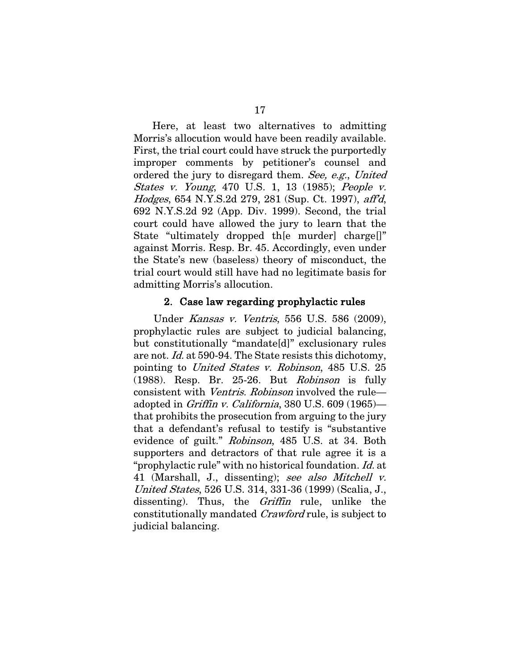Here, at least two alternatives to admitting Morris's allocution would have been readily available. First, the trial court could have struck the purportedly improper comments by petitioner's counsel and ordered the jury to disregard them. See, e.g., United States v. Young, 470 U.S. 1, 13 (1985); People v. Hodges, 654 N.Y.S.2d 279, 281 (Sup. Ct. 1997), aff'd, 692 N.Y.S.2d 92 (App. Div. 1999). Second, the trial court could have allowed the jury to learn that the State "ultimately dropped the murder charge." against Morris. Resp. Br. 45. Accordingly, even under the State's new (baseless) theory of misconduct, the trial court would still have had no legitimate basis for admitting Morris's allocution.

#### 2. Case law regarding prophylactic rules

Under Kansas v. Ventris, 556 U.S. 586 (2009), prophylactic rules are subject to judicial balancing, but constitutionally "mandate[d]" exclusionary rules are not. Id. at 590-94. The State resists this dichotomy, pointing to United States v. Robinson, 485 U.S. 25 (1988). Resp. Br. 25-26. But Robinson is fully consistent with Ventris. Robinson involved the rule adopted in Griffin v. California, 380 U.S. 609 (1965) that prohibits the prosecution from arguing to the jury that a defendant's refusal to testify is "substantive evidence of guilt." Robinson, 485 U.S. at 34. Both supporters and detractors of that rule agree it is a "prophylactic rule" with no historical foundation. Id. at 41 (Marshall, J., dissenting); see also Mitchell v. United States, 526 U.S. 314, 331-36 (1999) (Scalia, J., dissenting). Thus, the *Griffin* rule, unlike the constitutionally mandated Crawford rule, is subject to judicial balancing.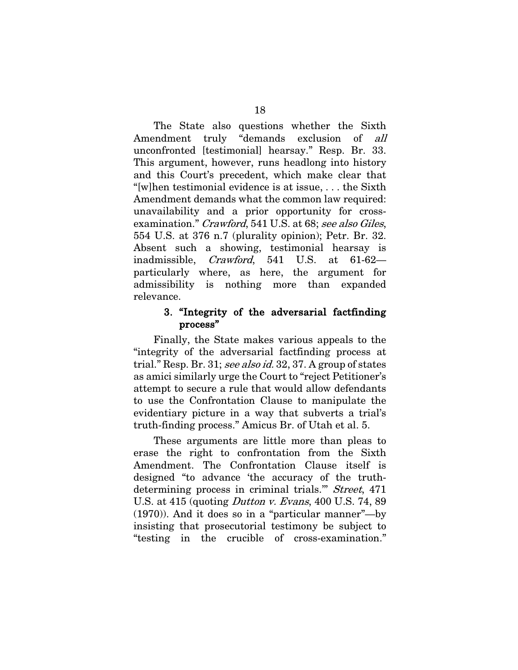The State also questions whether the Sixth Amendment truly "demands exclusion of all unconfronted [testimonial] hearsay." Resp. Br. 33. This argument, however, runs headlong into history and this Court's precedent, which make clear that "[w]hen testimonial evidence is at issue, . . . the Sixth Amendment demands what the common law required: unavailability and a prior opportunity for crossexamination." Crawford, 541 U.S. at 68; see also Giles, 554 U.S. at 376 n.7 (plurality opinion); Petr. Br. 32. Absent such a showing, testimonial hearsay is inadmissible, Crawford, 541 U.S. at 61-62 particularly where, as here, the argument for admissibility is nothing more than expanded relevance.

#### 3. "Integrity of the adversarial factfinding process"

Finally, the State makes various appeals to the "integrity of the adversarial factfinding process at trial." Resp. Br. 31; see also id. 32, 37. A group of states as amici similarly urge the Court to "reject Petitioner's attempt to secure a rule that would allow defendants to use the Confrontation Clause to manipulate the evidentiary picture in a way that subverts a trial's truth-finding process." Amicus Br. of Utah et al. 5.

These arguments are little more than pleas to erase the right to confrontation from the Sixth Amendment. The Confrontation Clause itself is designed "to advance 'the accuracy of the truthdetermining process in criminal trials.'" Street, 471 U.S. at 415 (quoting *Dutton v. Evans*, 400 U.S. 74, 89 (1970)). And it does so in a "particular manner"—by insisting that prosecutorial testimony be subject to "testing in the crucible of cross-examination."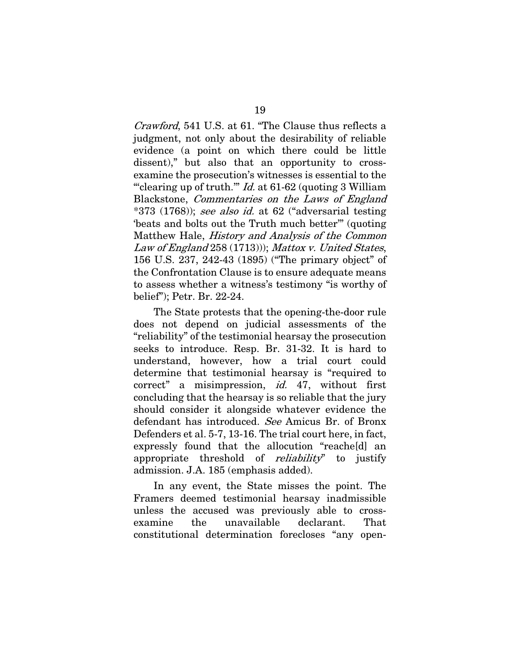Crawford, 541 U.S. at 61. "The Clause thus reflects a judgment, not only about the desirability of reliable evidence (a point on which there could be little dissent)," but also that an opportunity to crossexamine the prosecution's witnesses is essential to the ""clearing up of truth.""  $Id.$  at 61-62 (quoting 3 William Blackstone, Commentaries on the Laws of England  $*373$  (1768)); see also id. at 62 ("adversarial testing 'beats and bolts out the Truth much better'" (quoting Matthew Hale, History and Analysis of the Common Law of England 258 (1713))); Mattox v. United States, 156 U.S. 237, 242-43 (1895) ("The primary object" of the Confrontation Clause is to ensure adequate means to assess whether a witness's testimony "is worthy of belief"); Petr. Br. 22-24.

The State protests that the opening-the-door rule does not depend on judicial assessments of the "reliability" of the testimonial hearsay the prosecution seeks to introduce. Resp. Br. 31-32. It is hard to understand, however, how a trial court could determine that testimonial hearsay is "required to correct" a misimpression, id. 47, without first concluding that the hearsay is so reliable that the jury should consider it alongside whatever evidence the defendant has introduced. See Amicus Br. of Bronx Defenders et al. 5-7, 13-16. The trial court here, in fact, expressly found that the allocution "reache[d] an appropriate threshold of *reliability* to justify admission. J.A. 185 (emphasis added).

In any event, the State misses the point. The Framers deemed testimonial hearsay inadmissible unless the accused was previously able to crossexamine the unavailable declarant. That constitutional determination forecloses "any open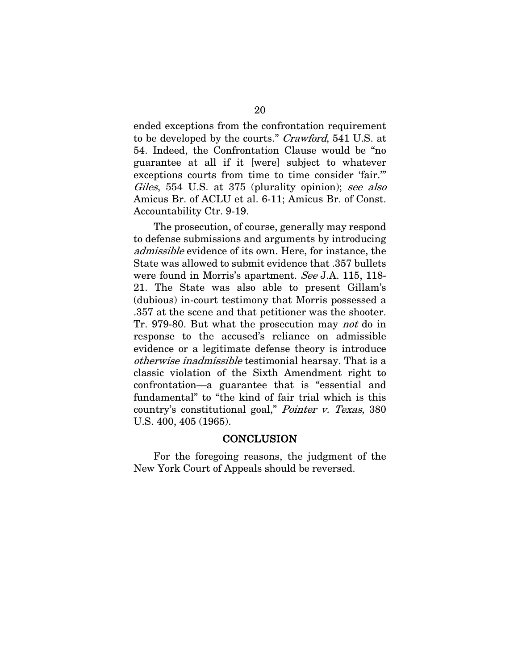ended exceptions from the confrontation requirement to be developed by the courts." Crawford, 541 U.S. at 54. Indeed, the Confrontation Clause would be "no guarantee at all if it [were] subject to whatever exceptions courts from time to time consider 'fair.'" Giles, 554 U.S. at 375 (plurality opinion); see also Amicus Br. of ACLU et al. 6-11; Amicus Br. of Const. Accountability Ctr. 9-19.

The prosecution, of course, generally may respond to defense submissions and arguments by introducing admissible evidence of its own. Here, for instance, the State was allowed to submit evidence that .357 bullets were found in Morris's apartment. See J.A. 115, 118-21. The State was also able to present Gillam's (dubious) in-court testimony that Morris possessed a .357 at the scene and that petitioner was the shooter. Tr. 979-80. But what the prosecution may not do in response to the accused's reliance on admissible evidence or a legitimate defense theory is introduce otherwise inadmissible testimonial hearsay. That is a classic violation of the Sixth Amendment right to confrontation—a guarantee that is "essential and fundamental" to "the kind of fair trial which is this country's constitutional goal," Pointer v. Texas, 380 U.S. 400, 405 (1965).

#### **CONCLUSION**

For the foregoing reasons, the judgment of the New York Court of Appeals should be reversed.